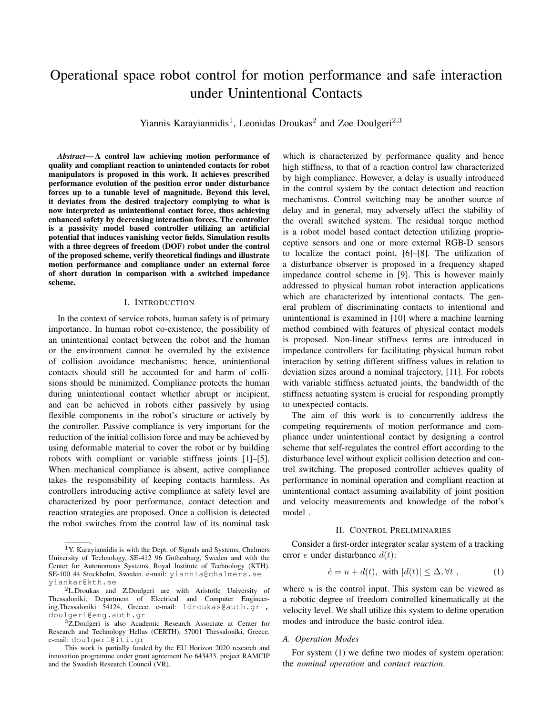# Operational space robot control for motion performance and safe interaction under Unintentional Contacts

Yiannis Karayiannidis<sup>1</sup>, Leonidas Droukas<sup>2</sup> and Zoe Doulgeri<sup>2,3</sup>

*Abstract*— A control law achieving motion performance of quality and compliant reaction to unintended contacts for robot manipulators is proposed in this work. It achieves prescribed performance evolution of the position error under disturbance forces up to a tunable level of magnitude. Beyond this level, it deviates from the desired trajectory complying to what is now interpreted as unintentional contact force, thus achieving enhanced safety by decreasing interaction forces. The controller is a passivity model based controller utilizing an artificial potential that induces vanishing vector fields. Simulation results with a three degrees of freedom (DOF) robot under the control of the proposed scheme, verify theoretical findings and illustrate motion performance and compliance under an external force of short duration in comparison with a switched impedance scheme.

#### I. INTRODUCTION

In the context of service robots, human safety is of primary importance. In human robot co-existence, the possibility of an unintentional contact between the robot and the human or the environment cannot be overruled by the existence of collision avoidance mechanisms; hence, unintentional contacts should still be accounted for and harm of collisions should be minimized. Compliance protects the human during unintentional contact whether abrupt or incipient, and can be achieved in robots either passively by using flexible components in the robot's structure or actively by the controller. Passive compliance is very important for the reduction of the initial collision force and may be achieved by using deformable material to cover the robot or by building robots with compliant or variable stiffness joints [1]–[5]. When mechanical compliance is absent, active compliance takes the responsibility of keeping contacts harmless. As controllers introducing active compliance at safety level are characterized by poor performance, contact detection and reaction strategies are proposed. Once a collision is detected the robot switches from the control law of its nominal task

———–.

This work is partially funded by the EU Horizon 2020 research and innovation programme under grant agreement No 643433, project RAMCIP and the Swedish Research Council (VR).

which is characterized by performance quality and hence high stiffness, to that of a reaction control law characterized by high compliance. However, a delay is usually introduced in the control system by the contact detection and reaction mechanisms. Control switching may be another source of delay and in general, may adversely affect the stability of the overall switched system. The residual torque method is a robot model based contact detection utilizing proprioceptive sensors and one or more external RGB-D sensors to localize the contact point, [6]–[8]. The utilization of a disturbance observer is proposed in a frequency shaped impedance control scheme in [9]. This is however mainly addressed to physical human robot interaction applications which are characterized by intentional contacts. The general problem of discriminating contacts to intentional and unintentional is examined in [10] where a machine learning method combined with features of physical contact models is proposed. Non-linear stiffness terms are introduced in impedance controllers for facilitating physical human robot interaction by setting different stiffness values in relation to deviation sizes around a nominal trajectory, [11]. For robots with variable stiffness actuated joints, the bandwidth of the stiffness actuating system is crucial for responding promptly to unexpected contacts.

The aim of this work is to concurrently address the competing requirements of motion performance and compliance under unintentional contact by designing a control scheme that self-regulates the control effort according to the disturbance level without explicit collision detection and control switching. The proposed controller achieves quality of performance in nominal operation and compliant reaction at unintentional contact assuming availability of joint position and velocity measurements and knowledge of the robot's model .

#### II. CONTROL PRELIMINARIES

Consider a first-order integrator scalar system of a tracking error *e* under disturbance *d*(*t*):

$$
\dot{e} = u + d(t), \text{ with } |d(t)| \le \Delta, \forall t , \qquad (1)
$$

where *u* is the control input. This system can be viewed as a robotic degree of freedom controlled kinematically at the velocity level. We shall utilize this system to define operation modes and introduce the basic control idea.

#### *A. Operation Modes*

For system (1) we define two modes of system operation: the *nominal operation* and *contact reaction*.

<sup>&</sup>lt;sup>1</sup>Y. Karayiannidis is with the Dept. of Signals and Systems, Chalmers University of Technology, SE-412 96 Gothenburg, Sweden and with the Center for Autonomous Systems, Royal Institute of Technology (KTH), SE-100 44 Stockholm, Sweden. e-mail: yiannis@chalmers.se yiankar@kth.se

<sup>2</sup>L.Droukas and Z.Doulgeri are with Aristotle University of Thessaloniki, Department of Electrical and Computer Engineering,Thessaloniki 54124, Greece. e-mail: ldroukas@auth.gr , doulgeri@eng.auth.gr

<sup>&</sup>lt;sup>3</sup>Z.Doulgeri is also Academic Research Associate at Center for Research and Technology Hellas (CERTH), 57001 Thessaloniki, Greece. e-mail: doulgeri@iti.gr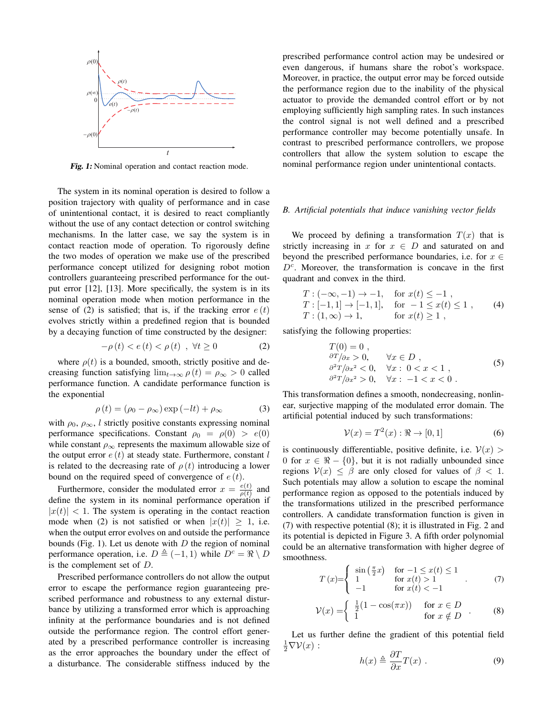

Fig. 1: Nominal operation and contact reaction mode.

The system in its nominal operation is desired to follow a position trajectory with quality of performance and in case of unintentional contact, it is desired to react compliantly without the use of any contact detection or control switching mechanisms. In the latter case, we say the system is in contact reaction mode of operation. To rigorously define the two modes of operation we make use of the prescribed performance concept utilized for designing robot motion controllers guaranteeing prescribed performance for the output error [12], [13]. More specifically, the system is in its nominal operation mode when motion performance in the sense of (2) is satisfied; that is, if the tracking error  $e(t)$ evolves strictly within a predefined region that is bounded by a decaying function of time constructed by the designer:

$$
-\rho(t) < e(t) < \rho(t) \quad \forall t \ge 0 \tag{2}
$$

where  $\rho(t)$  is a bounded, smooth, strictly positive and decreasing function satisfying  $\lim_{t\to\infty} \rho(t) = \rho_\infty > 0$  called performance function. A candidate performance function is the exponential

$$
\rho(t) = (\rho_0 - \rho_\infty) \exp(-lt) + \rho_\infty \tag{3}
$$

with  $\rho_0$ ,  $\rho_\infty$ , *l* strictly positive constants expressing nominal performance specifications. Constant  $\rho_0 = \rho(0) > e(0)$ while constant  $\rho_{\infty}$  represents the maximum allowable size of the output error *e* (*t*) at steady state. Furthermore, constant *l* is related to the decreasing rate of  $\rho(t)$  introducing a lower bound on the required speed of convergence of *e* (*t*).

Furthermore, consider the modulated error  $x = e^{i(t)}(t)$  $\frac{e(t)}{\rho(t)}$  and define the system in its nominal performance operation if  $|x(t)| < 1$ . The system is operating in the contact reaction mode when (2) is not satisfied or when  $|x(t)| \geq 1$ , i.e. when the output error evolves on and outside the performance bounds (Fig. 1). Let us denote with *D* the region of nominal performance operation, i.e.  $D \triangleq (-1, 1)$  while  $D^c = \Re \setminus D$ is the complement set of *D*.

Prescribed performance controllers do not allow the output error to escape the performance region guaranteeing prescribed performance and robustness to any external disturbance by utilizing a transformed error which is approaching infinity at the performance boundaries and is not defined outside the performance region. The control effort generated by a prescribed performance controller is increasing as the error approaches the boundary under the effect of a disturbance. The considerable stiffness induced by the prescribed performance control action may be undesired or even dangerous, if humans share the robot's workspace. Moreover, in practice, the output error may be forced outside the performance region due to the inability of the physical actuator to provide the demanded control effort or by not employing sufficiently high sampling rates. In such instances the control signal is not well defined and a prescribed performance controller may become potentially unsafe. In contrast to prescribed performance controllers, we propose controllers that allow the system solution to escape the nominal performance region under unintentional contacts.

### *B. Artificial potentials that induce vanishing vector fields*

We proceed by defining a transformation  $T(x)$  that is strictly increasing in  $x$  for  $x \in D$  and saturated on and beyond the prescribed performance boundaries, i.e. for  $x \in$ *D<sup>c</sup>* . Moreover, the transformation is concave in the first quadrant and convex in the third.

$$
T: (-\infty, -1) \to -1, \quad \text{for } x(t) \le -1 ,T: [-1, 1] \to [-1, 1], \quad \text{for } -1 \le x(t) \le 1 , \qquad (4) T: (1, \infty) \to 1, \qquad \text{for } x(t) \ge 1 ,
$$

satisfying the following properties:

$$
T(0) = 0,
$$
  
\n
$$
\frac{\partial T}{\partial x} > 0, \quad \forall x \in D,
$$
  
\n
$$
\frac{\partial^2 T}{\partial x^2} < 0, \quad \forall x : 0 < x < 1,
$$
  
\n
$$
\frac{\partial^2 T}{\partial x^2} > 0, \quad \forall x : -1 < x < 0.
$$
\n(5)

This transformation defines a smooth, nondecreasing, nonlinear, surjective mapping of the modulated error domain. The artificial potential induced by such transformations:

$$
\mathcal{V}(x) = T^2(x) : \Re \to [0, 1] \tag{6}
$$

is continuously differentiable, positive definite, i.e.  $V(x)$ 0 for  $x \in \Re -\{0\}$ , but it is not radially unbounded since regions  $V(x) \leq \beta$  are only closed for values of  $\beta < 1$ . Such potentials may allow a solution to escape the nominal performance region as opposed to the potentials induced by the transformations utilized in the prescribed performance controllers. A candidate transformation function is given in (7) with respective potential (8); it is illustrated in Fig. 2 and its potential is depicted in Figure 3. A fifth order polynomial could be an alternative transformation with higher degree of smoothness.

$$
T(x)=\begin{cases}\n\sin\left(\frac{\pi}{2}x\right) & \text{for } -1 \leq x(t) \leq 1 \\
1 & \text{for } x(t) > 1 \\
-1 & \text{for } x(t) < -1\n\end{cases} (7)
$$

$$
\mathcal{V}(x) = \begin{cases} \frac{1}{2}(1 - \cos(\pi x)) & \text{for } x \in D \\ 1 & \text{for } x \notin D \end{cases} . \tag{8}
$$

Let us further define the gradient of this potential field  $\frac{1}{2}\nabla\mathcal{V}(x)$ :

$$
h(x) \triangleq \frac{\partial T}{\partial x}T(x) . \tag{9}
$$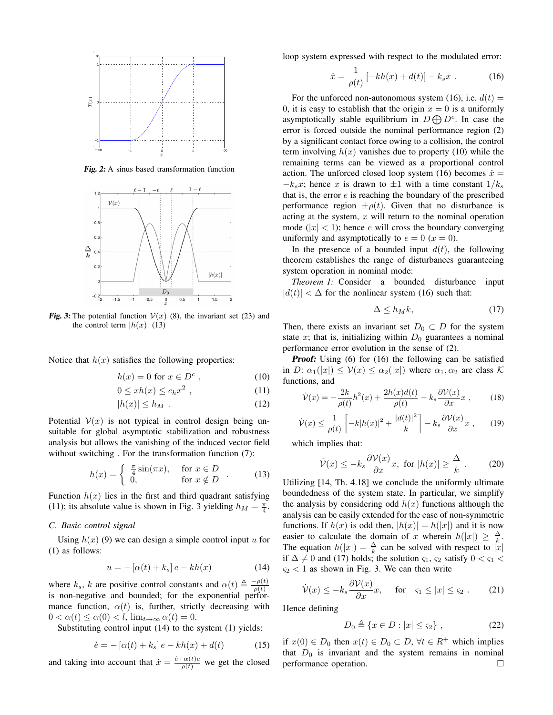

Fig. 2: A sinus based transformation function



**Fig. 3:** The potential function  $V(x)$  (8), the invariant set (23) and the control term  $|h(x)|$  (13)

Notice that  $h(x)$  satisfies the following properties:

$$
h(x) = 0 \text{ for } x \in D^c , \qquad (10)
$$

$$
0 \le xh(x) \le c_h x^2 , \qquad (11)
$$

$$
|h(x)| \le h_M . \tag{12}
$$

Potential  $V(x)$  is not typical in control design being unsuitable for global asymptotic stabilization and robustness analysis but allows the vanishing of the induced vector field without switching. For the transformation function (7):

$$
h(x) = \begin{cases} \frac{\pi}{4} \sin(\pi x), & \text{for } x \in D \\ 0, & \text{for } x \notin D \end{cases} . \tag{13}
$$

Function  $h(x)$  lies in the first and third quadrant satisfying (11); its absolute value is shown in Fig. 3 yielding  $h_M = \frac{\pi}{4}$ .

#### *C. Basic control signal*

Using  $h(x)$  (9) we can design a simple control input  $u$  for (1) as follows:

$$
u = -[\alpha(t) + k_s]e - kh(x) \tag{14}
$$

where  $k_s$ ,  $k$  are positive control constants and  $\alpha(t) \triangleq \frac{-\dot{\rho}(t)}{\rho(t)}$ is non-negative and bounded; for the exponential performance function,  $\alpha(t)$  is, further, strictly decreasing with  $0 < \alpha(t) \leq \alpha(0) < l$ ,  $\lim_{t \to \infty} \alpha(t) = 0$ .

Substituting control input (14) to the system (1) yields:

$$
\dot{e} = -[\alpha(t) + k_s] e - kh(x) + d(t) \tag{15}
$$

and taking into account that  $\dot{x} = \frac{\dot{e} + \alpha(t)e}{\rho(t)}$  we get the closed

loop system expressed with respect to the modulated error:

$$
\dot{x} = \frac{1}{\rho(t)} \left[ -kh(x) + d(t) \right] - k_s x \ . \tag{16}
$$

For the unforced non-autonomous system (16), i.e.  $d(t)$  = 0, it is easy to establish that the origin  $x = 0$  is a uniformly asymptotically stable equilibrium in  $D \bigoplus D^c$ . In case the error is forced outside the nominal performance region (2) by a significant contact force owing to a collision, the control term involving  $h(x)$  vanishes due to property (10) while the remaining terms can be viewed as a proportional control action. The unforced closed loop system (16) becomes  $\dot{x} =$  $-k_s x$ ; hence *x* is drawn to  $\pm 1$  with a time constant  $1/k_s$ that is, the error *e* is reaching the boundary of the prescribed performance region  $\pm \rho(t)$ . Given that no disturbance is acting at the system, *x* will return to the nominal operation mode ( $|x| < 1$ ); hence *e* will cross the boundary converging uniformly and asymptotically to  $e = 0$  ( $x = 0$ ).

In the presence of a bounded input  $d(t)$ , the following theorem establishes the range of disturbances guaranteeing system operation in nominal mode:

*Theorem 1:* Consider a bounded disturbance input  $|d(t)| < \Delta$  for the nonlinear system (16) such that:

$$
\Delta \le h_M k,\tag{17}
$$

Then, there exists an invariant set  $D_0 \subset D$  for the system state  $x$ ; that is, initializing within  $D_0$  guarantees a nominal performance error evolution in the sense of (2).

**Proof:** Using (6) for (16) the following can be satisfied in *D*:  $\alpha_1(|x|) \leq \nu(x) \leq \alpha_2(|x|)$  where  $\alpha_1, \alpha_2$  are class  $\mathcal K$ functions, and

$$
\dot{\mathcal{V}}(x) = -\frac{2k}{\rho(t)}h^2(x) + \frac{2h(x)d(t)}{\rho(t)} - k_s \frac{\partial \mathcal{V}(x)}{\partial x}x ,\qquad (18)
$$

$$
\dot{\mathcal{V}}(x) \le \frac{1}{\rho(t)} \left[ -k|h(x)|^2 + \frac{|d(t)|^2}{k} \right] - k_s \frac{\partial \mathcal{V}(x)}{\partial x} x \;, \tag{19}
$$

which implies that:

$$
\dot{\mathcal{V}}(x) \le -k_s \frac{\partial \mathcal{V}(x)}{\partial x} x, \text{ for } |h(x)| \ge \frac{\Delta}{k} . \tag{20}
$$

Utilizing [14, Th. 4.18] we conclude the uniformly ultimate boundedness of the system state. In particular, we simplify the analysis by considering odd  $h(x)$  functions although the analysis can be easily extended for the case of non-symmetric functions. If  $h(x)$  is odd then,  $|h(x)| = h(|x|)$  and it is now easier to calculate the domain of *x* wherein  $h(|x|) \geq \frac{\Delta}{k}$ . The equation  $h(|x|) = \frac{\Delta}{k}$  can be solved with respect to  $|\mathbf{x}|$ if  $\Delta \neq 0$  and (17) holds; the solution *ς*<sub>1</sub>, *ς*<sub>2</sub> satisfy 0 < *ς*<sub>1</sub> <  $\varsigma_2$  < 1 as shown in Fig. 3. We can then write

$$
\dot{\mathcal{V}}(x) \le -k_s \frac{\partial \mathcal{V}(x)}{\partial x} x, \quad \text{for} \quad \varsigma_1 \le |x| \le \varsigma_2 \ . \tag{21}
$$

Hence defining

$$
D_0 \triangleq \{x \in D : |x| \le \varsigma_2\},\tag{22}
$$

if  $x(0) \in D_0$  then  $x(t) \in D_0 \subset D$ ,  $\forall t \in R^+$  which implies that  $D_0$  is invariant and the system remains in nominal performance operation.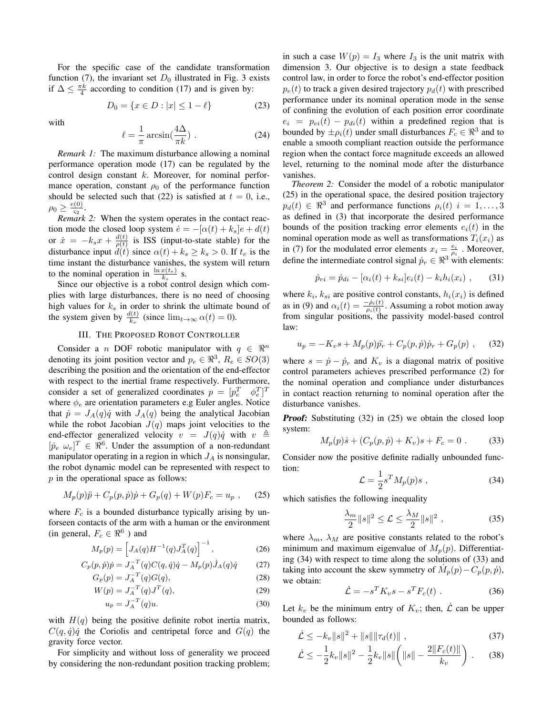For the specific case of the candidate transformation function (7), the invariant set  $D_0$  illustrated in Fig. 3 exists if  $\Delta \leq \frac{\pi k}{4}$  according to condition (17) and is given by:

$$
D_0 = \{x \in D : |x| \le 1 - \ell\}
$$
 (23)

with

$$
\ell = \frac{1}{\pi} \arcsin\left(\frac{4\Delta}{\pi k}\right) \,. \tag{24}
$$

*Remark 1:* The maximum disturbance allowing a nominal performance operation mode (17) can be regulated by the control design constant *k*. Moreover, for nominal performance operation, constant  $\rho_0$  of the performance function should be selected such that  $(22)$  is satisfied at  $t = 0$ , i.e.,  $\rho_0 \geq \frac{e(0)}{c_2}$  $\frac{(0)}{s_2}$ .

*Remark 2:* When the system operates in the contact reaction mode the closed loop system  $\dot{e} = -[\alpha(t) + k_s]e + d(t)$ or  $\dot{x} = -k_s x + \frac{d(t)}{a(t)}$  $\frac{a(t)}{p(t)}$  is ISS (input-to-state stable) for the disturbance input  $d(t)$  since  $\alpha(t) + k_s \geq k_s > 0$ . If  $t_e$  is the time instant the disturbance vanishes, the system will return to the nominal operation in  $\frac{\ln x(t_e)}{k_s}$  s.

Since our objective is a robot control design which complies with large disturbances, there is no need of choosing high values for *k<sup>s</sup>* in order to shrink the ultimate bound of the system given by  $\frac{d(t)}{k_s}$  (since  $\lim_{t\to\infty} \alpha(t) = 0$ ).

## III. THE PROPOSED ROBOT CONTROLLER

Consider a *n* DOF robotic manipulator with  $q \in \mathbb{R}^n$ denoting its joint position vector and  $p_e \in \mathbb{R}^3$ ,  $R_e \in SO(3)$ describing the position and the orientation of the end-effector with respect to the inertial frame respectively. Furthermore, consider a set of generalized coordinates  $p = [p_e^T \quad \phi_e^T]^T$ where *ϕ<sup>e</sup>* are orientation parameters e.g Euler angles. Notice that  $\dot{p} = J_A(q)\dot{q}$  with  $J_A(q)$  being the analytical Jacobian while the robot Jacobian  $J(q)$  maps joint velocities to the end-effector generalized velocity  $v = J(q)\dot{q}$  with  $v \triangleq$  $[\dot{p}_e \ \omega_e]^T \in \Re^6$ . Under the assumption of a non-redundant manipulator operating in a region in which *J<sup>A</sup>* is nonsingular, the robot dynamic model can be represented with respect to *p* in the operational space as follows:

$$
M_p(p)\ddot{p} + C_p(p,\dot{p})\dot{p} + G_p(q) + W(p)F_c = u_p ,\qquad (25)
$$

where  $F_c$  is a bounded disturbance typically arising by unforseen contacts of the arm with a human or the environment (in general,  $F_c \in \Re^6$ ) and

$$
M_p(p) = \left[ J_A(q) H^{-1}(q) J_A^T(q) \right]^{-1}, \tag{26}
$$

$$
C_p(p,p)\dot{p} = J_A^{-T}(q)C(q,\dot{q})\dot{q} - M_p(p)\dot{J}_A(q)\dot{q} \tag{27}
$$

$$
G_p(p) = J_A^{-T}(q)G(q),\tag{28}
$$

$$
W(p) = J_A^{-T}(q)J^T(q),
$$
\n(29)

$$
u_p = J_A^{-T}(q)u.
$$
\n(30)

with  $H(q)$  being the positive definite robot inertia matrix,  $C(q, \dot{q})\dot{q}$  the Coriolis and centripetal force and  $G(q)$  the gravity force vector.

For simplicity and without loss of generality we proceed by considering the non-redundant position tracking problem; in such a case  $W(p) = I_3$  where  $I_3$  is the unit matrix with dimension 3. Our objective is to design a state feedback control law, in order to force the robot's end-effector position  $p_e(t)$  to track a given desired trajectory  $p_d(t)$  with prescribed performance under its nominal operation mode in the sense of confining the evolution of each position error coordinate  $e_i = p_{ei}(t) - p_{di}(t)$  within a predefined region that is bounded by  $\pm \rho_i(t)$  under small disturbances  $F_c \in \mathbb{R}^3$  and to enable a smooth compliant reaction outside the performance region when the contact force magnitude exceeds an allowed level, returning to the nominal mode after the disturbance vanishes.

*Theorem 2:* Consider the model of a robotic manipulator (25) in the operational space, the desired position trajectory  $p_d(t) \in \Re^3$  and performance functions  $\rho_i(t)$  *i* = 1, ..., 3 as defined in (3) that incorporate the desired performance bounds of the position tracking error elements  $e_i(t)$  in the nominal operation mode as well as transformations  $T_i(x_i)$  as in (7) for the modulated error elements  $x_i = \frac{e_i}{\rho_i}$ . Moreover, define the intermediate control signal  $\dot{p}_r \in \Re^3$  with elements:

$$
\dot{p}_{ri} = \dot{p}_{di} - [\alpha_i(t) + k_{si}]e_i(t) - k_i h_i(x_i) , \qquad (31)
$$

where  $k_i$ ,  $k_{si}$  are positive control constants,  $h_i(x_i)$  is defined as in (9) and  $\alpha_i(t) = \frac{-\dot{\rho}_i(t)}{\rho_i(t)}$ . Assuming a robot motion away from singular positions, the passivity model-based control law:

$$
u_p = -K_v s + M_p(p)\ddot{p}_r + C_p(p,\dot{p})\dot{p}_r + G_p(p) ,\qquad (32)
$$

where  $s = \dot{p} - \dot{p}_r$  and  $K_v$  is a diagonal matrix of positive control parameters achieves prescribed performance (2) for the nominal operation and compliance under disturbances in contact reaction returning to nominal operation after the disturbance vanishes.

**Proof:** Substituting (32) in (25) we obtain the closed loop system:

$$
M_p(p)\dot{s} + (C_p(p,\dot{p}) + K_v)s + F_c = 0.
$$
 (33)

Consider now the positive definite radially unbounded function:

$$
\mathcal{L} = \frac{1}{2} s^T M_p(p) s \tag{34}
$$

which satisfies the following inequality

$$
\frac{\lambda_m}{2} \|s\|^2 \le \mathcal{L} \le \frac{\lambda_M}{2} \|s\|^2 \;, \tag{35}
$$

where  $\lambda_m$ ,  $\lambda_M$  are positive constants related to the robot's minimum and maximum eigenvalue of  $M_p(p)$ . Differentiating (34) with respect to time along the solutions of (33) and taking into account the skew symmetry of  $\dot{M}_p(p) - C_p(p, \dot{p})$ , we obtain:

$$
\dot{\mathcal{L}} = -s^T K_v s - s^T F_c(t) . \qquad (36)
$$

Let  $k_v$  be the minimum entry of  $K_v$ ; then,  $\dot{\mathcal{L}}$  can be upper bounded as follows:

$$
\dot{\mathcal{L}} \le -k_v \|s\|^2 + \|s\| \|\tau_d(t)\| \;, \tag{37}
$$

$$
\dot{\mathcal{L}} \le -\frac{1}{2}k_v \|s\|^2 - \frac{1}{2}k_v \|s\| \left( \|s\| - \frac{2\|F_c(t)\|}{k_v} \right) \,. \tag{38}
$$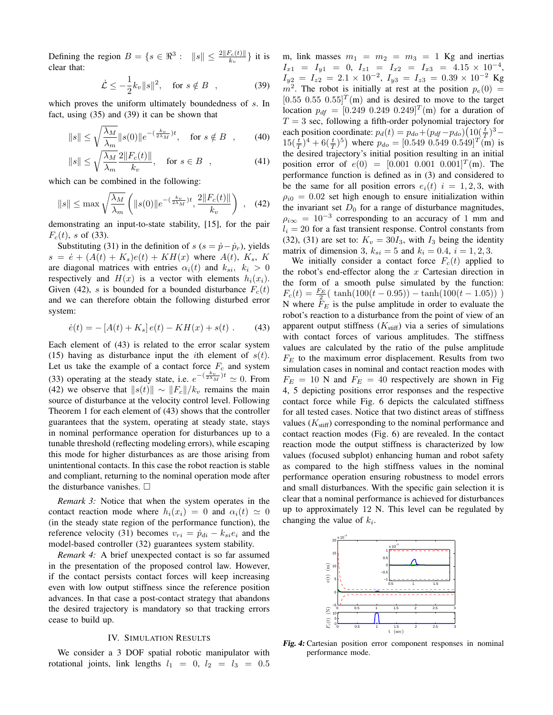Defining the region  $B = \{s \in \Re^3 : ||s|| \le \frac{2||F_c(t)||}{k_v}\}$  it is clear that:

$$
\dot{\mathcal{L}} \le -\frac{1}{2}k_v \|s\|^2, \quad \text{for } s \notin B \quad , \tag{39}
$$

which proves the uniform ultimately boundedness of *s*. In fact, using (35) and (39) it can be shown that

$$
||s|| \le \sqrt{\frac{\lambda_M}{\lambda_m}} ||s(0)||e^{-(\frac{kv}{2\lambda_M})t}, \quad \text{for } s \notin B \quad , \tag{40}
$$

$$
||s|| \le \sqrt{\frac{\lambda_M}{\lambda_m}} \frac{2||F_c(t)||}{k_v}, \quad \text{for } s \in B \quad , \tag{41}
$$

which can be combined in the following:

$$
||s|| \le \max \sqrt{\frac{\lambda_M}{\lambda_m}} \left( ||s(0)||e^{-(\frac{k_v}{2\lambda_M})t}, \frac{2||F_c(t)||}{k_v} \right) , \quad (42)
$$

demonstrating an input-to-state stability, [15], for the pair  $F_c(t)$ , *s* of (33).

Substituting (31) in the definition of *s* ( $s = \dot{p} - \dot{p}_r$ ), yields  $s = \dot{e} + (A(t) + K_s)e(t) + KH(x)$  where  $A(t)$ ,  $K_s$ ,  $K_s$ are diagonal matrices with entries  $\alpha_i(t)$  and  $k_{si}$ ,  $k_i > 0$ respectively and  $H(x)$  is a vector with elements  $h_i(x_i)$ . Given (42), *s* is bounded for a bounded disturbance  $F_c(t)$ and we can therefore obtain the following disturbed error system:

$$
\dot{e}(t) = -[A(t) + K_s]e(t) - KH(x) + s(t) . \tag{43}
$$

Each element of (43) is related to the error scalar system (15) having as disturbance input the *i*th element of *s*(*t*). Let us take the example of a contact force  $F_c$  and system (33) operating at the steady state, i.e.  $e^{-(\frac{k_v}{2\lambda_M})t} \approx 0$ . From (42) we observe that  $||s(t)|| \sim ||F_c||/k_v$  remains the main source of disturbance at the velocity control level. Following Theorem 1 for each element of (43) shows that the controller guarantees that the system, operating at steady state, stays in nominal performance operation for disturbances up to a tunable threshold (reflecting modeling errors), while escaping this mode for higher disturbances as are those arising from unintentional contacts. In this case the robot reaction is stable and compliant, returning to the nominal operation mode after the disturbance vanishes.

*Remark 3:* Notice that when the system operates in the contact reaction mode where  $h_i(x_i) = 0$  and  $\alpha_i(t) \approx 0$ (in the steady state region of the performance function), the reference velocity (31) becomes  $v_{ri} = \dot{p}_{di} - k_{si}e_i$  and the model-based controller (32) guarantees system stability.

*Remark 4:* A brief unexpected contact is so far assumed in the presentation of the proposed control law. However, if the contact persists contact forces will keep increasing even with low output stiffness since the reference position advances. In that case a post-contact strategy that abandons the desired trajectory is mandatory so that tracking errors cease to build up.

#### IV. SIMULATION RESULTS

We consider a 3 DOF spatial robotic manipulator with rotational joints, link lengths  $l_1 = 0$ ,  $l_2 = l_3 = 0.5$  m, link masses  $m_1 = m_2 = m_3 = 1$  Kg and inertias  $I_{x1} = I_{y1} = 0, I_{z1} = I_{x2} = I_{x3} = 4.15 \times 10^{-4}$  $I_{y2} = I_{z2} = 2.1 \times 10^{-2}$ ,  $I_{y3} = I_{z3} = 0.39 \times 10^{-2}$  Kg  $m^2$ . The robot is initially at rest at the position  $p_e(0)$  =  $[0.55 \ 0.55 \ 0.55]^T$ (m) and is desired to move to the target location  $p_{df} = [0.249 \ 0.249 \ 0.249]^T$ (m) for a duration of  $T = 3$  sec, following a fifth-order polynomial trajectory for each position coordinate:  $p_d(t) = p_{do} + (p_{df} - p_{do})(10(\frac{t}{T})^3 T_15(\frac{t}{T})^4 + 6(\frac{t}{T})^5$  where  $p_{do} = [0.549 \ 0.549 \ 0.549]$ <sup>T</sup>(m) is the desired trajectory's initial position resulting in an initial position error of  $e(0) = [0.001 \ 0.001 \ 0.001]^T(m)$ . The performance function is defined as in (3) and considered to be the same for all position errors  $e_i(t)$   $i = 1, 2, 3$ , with  $\rho_{i0} = 0.02$  set high enough to ensure initialization within the invariant set  $D_0$  for a range of disturbance magnitudes,  $\rho_{i\infty} = 10^{-3}$  corresponding to an accuracy of 1 mm and  $l_i = 20$  for a fast transient response. Control constants from (32), (31) are set to:  $K_v = 30I_3$ , with  $I_3$  being the identity matrix of dimension 3,  $k_{si} = 5$  and  $k_i = 0.4$ ,  $i = 1, 2, 3$ .

We initially consider a contact force  $F_c(t)$  applied to the robot's end-effector along the *x* Cartesian direction in the form of a smooth pulse simulated by the function:  $F_c(t) = \frac{F_E}{2}(\tanh(100(t - 0.95)) - \tanh(100(t - 1.05))$ N where  $\bar{F}_E$  is the pulse amplitude in order to evaluate the robot's reaction to a disturbance from the point of view of an apparent output stiffness  $(K_{\text{stiff}})$  via a series of simulations with contact forces of various amplitudes. The stiffness values are calculated by the ratio of the pulse amplitude  $F<sub>E</sub>$  to the maximum error displacement. Results from two simulation cases in nominal and contact reaction modes with  $F_E = 10$  N and  $F_E = 40$  respectively are shown in Fig 4, 5 depicting positions error responses and the respective contact force while Fig. 6 depicts the calculated stiffness for all tested cases. Notice that two distinct areas of stiffness values  $(K_{\text{stiff}})$  corresponding to the nominal performance and contact reaction modes (Fig. 6) are revealed. In the contact reaction mode the output stiffness is characterized by low values (focused subplot) enhancing human and robot safety as compared to the high stiffness values in the nominal performance operation ensuring robustness to model errors and small disturbances. With the specific gain selection it is clear that a nominal performance is achieved for disturbances up to approximately 12 N. This level can be regulated by changing the value of *k<sup>i</sup>* .



Fig. 4: Cartesian position error component responses in nominal performance mode.